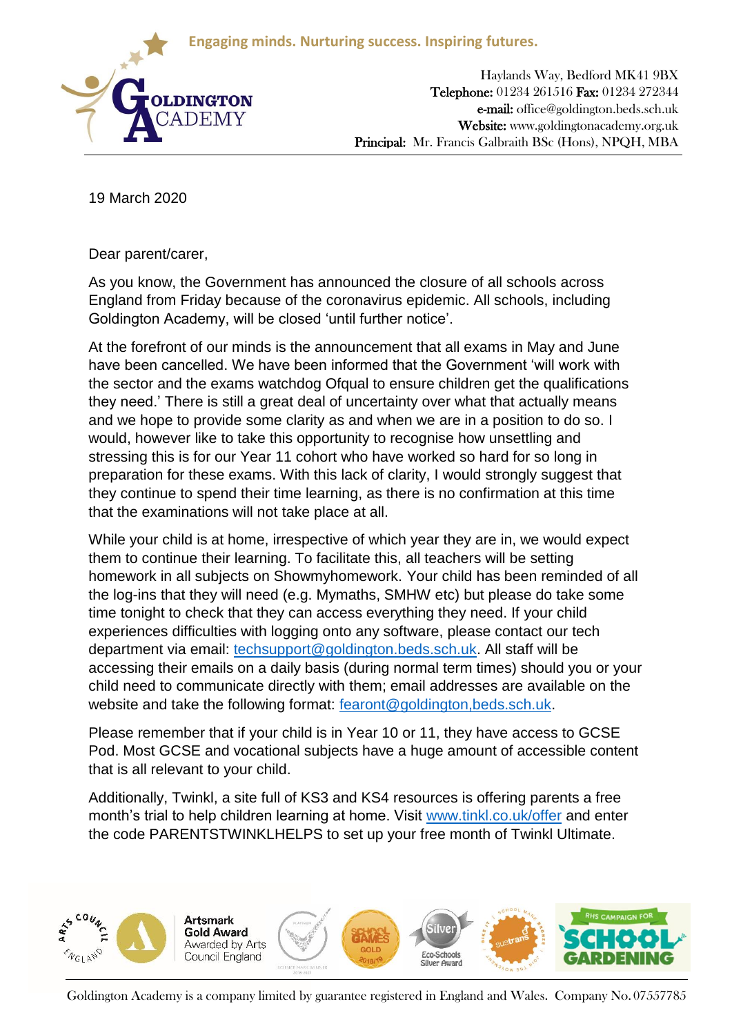**Engaging minds. Nurturing success. Inspiring futures.**



Haylands Way, Bedford MK41 9BX Telephone: 01234 261516 Fax: 01234 272344 e-mail: office@goldington.beds.sch.uk Website: www.goldingtonacademy.org.uk Principal: Mr. Francis Galbraith BSc (Hons), NPQH, MBA

19 March 2020

Dear parent/carer,

As you know, the Government has announced the closure of all schools across England from Friday because of the coronavirus epidemic. All schools, including Goldington Academy, will be closed 'until further notice'.

At the forefront of our minds is the announcement that all exams in May and June have been cancelled. We have been informed that the Government 'will work with the sector and the exams watchdog Ofqual to ensure children get the qualifications they need.' There is still a great deal of uncertainty over what that actually means and we hope to provide some clarity as and when we are in a position to do so. I would, however like to take this opportunity to recognise how unsettling and stressing this is for our Year 11 cohort who have worked so hard for so long in preparation for these exams. With this lack of clarity, I would strongly suggest that they continue to spend their time learning, as there is no confirmation at this time that the examinations will not take place at all.

While your child is at home, irrespective of which year they are in, we would expect them to continue their learning. To facilitate this, all teachers will be setting homework in all subjects on Showmyhomework. Your child has been reminded of all the log-ins that they will need (e.g. Mymaths, SMHW etc) but please do take some time tonight to check that they can access everything they need. If your child experiences difficulties with logging onto any software, please contact our tech department via email: [techsupport@goldington.beds.sch.uk.](mailto:techsupport@goldington.beds.sch.uk) All staff will be accessing their emails on a daily basis (during normal term times) should you or your child need to communicate directly with them; email addresses are available on the website and take the following format: [fearont@goldington,beds.sch.uk.](mailto:fearont@goldington,beds.sch.uk)

Please remember that if your child is in Year 10 or 11, they have access to GCSE Pod. Most GCSE and vocational subjects have a huge amount of accessible content that is all relevant to your child.

Additionally, Twinkl, a site full of KS3 and KS4 resources is offering parents a free month's trial to help children learning at home. Visit [www.tinkl.co.uk/offer](http://www.tinkl.co.uk/offer) and enter the code PARENTSTWINKLHELPS to set up your free month of Twinkl Ultimate.



Goldington Academy is a company limited by guarantee registered in England and Wales. Company No. 07557785